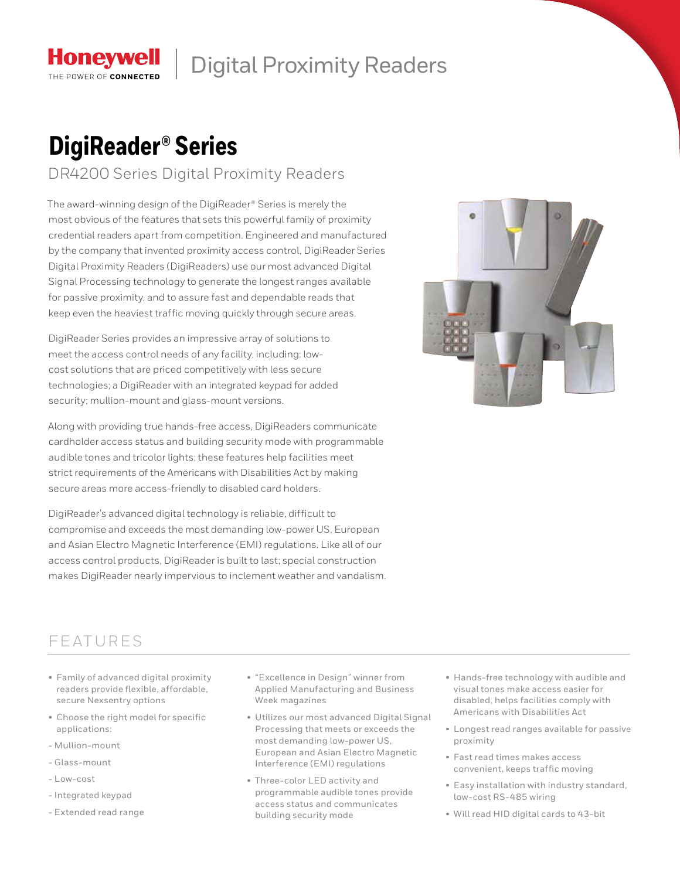

## Digital Proximity Readers

# **DigiReader® Series**

DR4200 Series Digital Proximity Readers

The award-winning design of the DigiReader® Series is merely the most obvious of the features that sets this powerful family of proximity credential readers apart from competition. Engineered and manufactured by the company that invented proximity access control, DigiReader Series Digital Proximity Readers (DigiReaders) use our most advanced Digital Signal Processing technology to generate the longest ranges available for passive proximity, and to assure fast and dependable reads that keep even the heaviest traffic moving quickly through secure areas.

DigiReader Series provides an impressive array of solutions to meet the access control needs of any facility, including: lowcost solutions that are priced competitively with less secure technologies; a DigiReader with an integrated keypad for added security; mullion-mount and glass-mount versions.

Along with providing true hands-free access, DigiReaders communicate cardholder access status and building security mode with programmable audible tones and tricolor lights; these features help facilities meet strict requirements of the Americans with Disabilities Act by making secure areas more access-friendly to disabled card holders.

DigiReader's advanced digital technology is reliable, difficult to compromise and exceeds the most demanding low-power US, European and Asian Electro Magnetic Interference (EMI) regulations. Like all of our access control products, DigiReader is built to last; special construction makes DigiReader nearly impervious to inclement weather and vandalism.



### **FEATURES**

- Family of advanced digital proximity readers provide flexible, affordable, secure Nexsentry options
- Choose the right model for specific applications:
- Mullion-mount
- Glass-mount
- Low-cost
- Integrated keypad
- Extended read range
- "Excellence in Design" winner from Applied Manufacturing and Business Week magazines
- Utilizes our most advanced Digital Signal Processing that meets or exceeds the most demanding low-power US, European and Asian Electro Magnetic Interference (EMI) regulations
- Three-color LED activity and programmable audible tones provide access status and communicates building security mode
- Hands-free technology with audible and visual tones make access easier for disabled, helps facilities comply with Americans with Disabilities Act
- Longest read ranges available for passive proximity
- Fast read times makes access convenient, keeps traffic moving
- Easy installation with industry standard, low-cost RS-485 wiring
- Will read HID digital cards to 43-bit